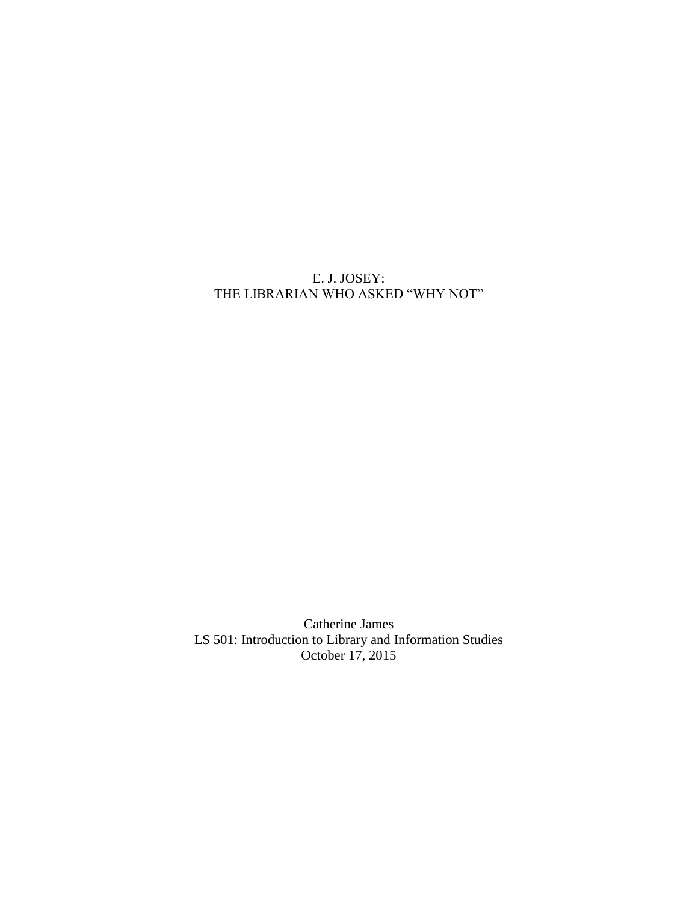E. J. JOSEY: THE LIBRARIAN WHO ASKED "WHY NOT"

Catherine James LS 501: Introduction to Library and Information Studies October 17, 2015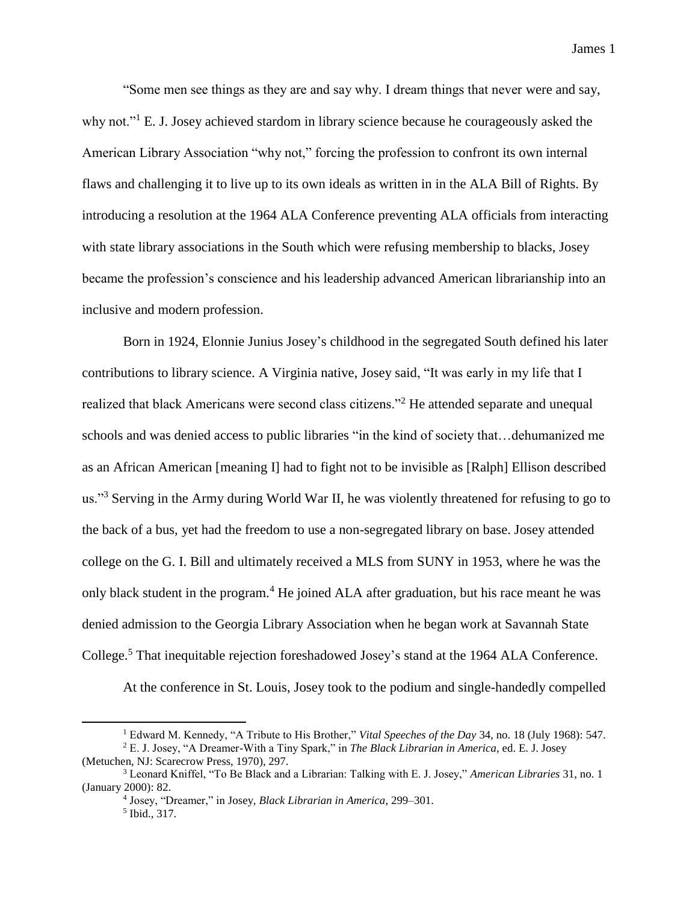James 1

"Some men see things as they are and say why. I dream things that never were and say, why not."<sup>1</sup> E. J. Josey achieved stardom in library science because he courageously asked the American Library Association "why not," forcing the profession to confront its own internal flaws and challenging it to live up to its own ideals as written in in the ALA Bill of Rights. By introducing a resolution at the 1964 ALA Conference preventing ALA officials from interacting with state library associations in the South which were refusing membership to blacks, Josey became the profession's conscience and his leadership advanced American librarianship into an inclusive and modern profession.

Born in 1924, Elonnie Junius Josey's childhood in the segregated South defined his later contributions to library science. A Virginia native, Josey said, "It was early in my life that I realized that black Americans were second class citizens."<sup>2</sup> He attended separate and unequal schools and was denied access to public libraries "in the kind of society that…dehumanized me as an African American [meaning I] had to fight not to be invisible as [Ralph] Ellison described us."<sup>3</sup> Serving in the Army during World War II, he was violently threatened for refusing to go to the back of a bus, yet had the freedom to use a non-segregated library on base. Josey attended college on the G. I. Bill and ultimately received a MLS from SUNY in 1953, where he was the only black student in the program.<sup>4</sup> He joined ALA after graduation, but his race meant he was denied admission to the Georgia Library Association when he began work at Savannah State College. <sup>5</sup> That inequitable rejection foreshadowed Josey's stand at the 1964 ALA Conference.

At the conference in St. Louis, Josey took to the podium and single-handedly compelled

 $\overline{\phantom{a}}$ 

<sup>1</sup> Edward M. Kennedy, "A Tribute to His Brother," *Vital Speeches of the Day* 34, no. 18 (July 1968): 547.

<sup>2</sup> E. J. Josey, "A Dreamer-With a Tiny Spark," in *The Black Librarian in America*, ed. E. J. Josey (Metuchen, NJ: Scarecrow Press, 1970), 297.

<sup>3</sup> Leonard Kniffel, "To Be Black and a Librarian: Talking with E. J. Josey," *American Libraries* 31, no. 1 (January 2000): 82.

<sup>4</sup> Josey, "Dreamer," in Josey, *Black Librarian in America*, 299–301. 5 Ibid., 317.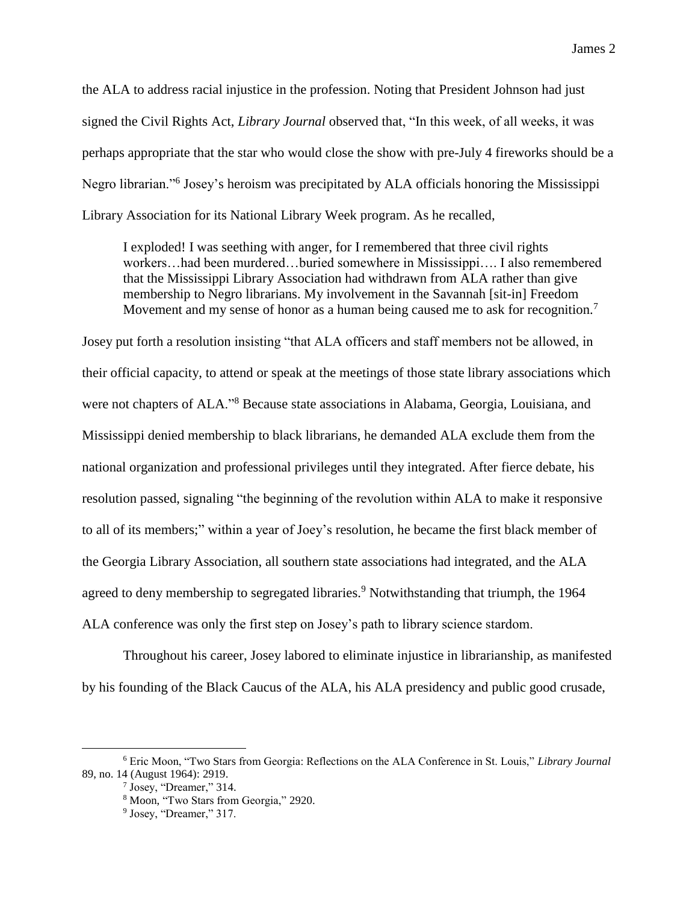the ALA to address racial injustice in the profession. Noting that President Johnson had just signed the Civil Rights Act, *Library Journal* observed that, "In this week, of all weeks, it was perhaps appropriate that the star who would close the show with pre-July 4 fireworks should be a Negro librarian."<sup>6</sup> Josey's heroism was precipitated by ALA officials honoring the Mississippi Library Association for its National Library Week program. As he recalled,

I exploded! I was seething with anger, for I remembered that three civil rights workers…had been murdered…buried somewhere in Mississippi…. I also remembered that the Mississippi Library Association had withdrawn from ALA rather than give membership to Negro librarians. My involvement in the Savannah [sit-in] Freedom Movement and my sense of honor as a human being caused me to ask for recognition.<sup>7</sup>

Josey put forth a resolution insisting "that ALA officers and staff members not be allowed, in their official capacity, to attend or speak at the meetings of those state library associations which were not chapters of ALA."<sup>8</sup> Because state associations in Alabama, Georgia, Louisiana, and Mississippi denied membership to black librarians, he demanded ALA exclude them from the national organization and professional privileges until they integrated. After fierce debate, his resolution passed, signaling "the beginning of the revolution within ALA to make it responsive to all of its members;" within a year of Joey's resolution, he became the first black member of the Georgia Library Association, all southern state associations had integrated, and the ALA agreed to deny membership to segregated libraries.<sup>9</sup> Notwithstanding that triumph, the 1964 ALA conference was only the first step on Josey's path to library science stardom.

Throughout his career, Josey labored to eliminate injustice in librarianship, as manifested by his founding of the Black Caucus of the ALA, his ALA presidency and public good crusade,

 $\overline{a}$ 

<sup>6</sup> Eric Moon, "Two Stars from Georgia: Reflections on the ALA Conference in St. Louis," *Library Journal* 89, no. 14 (August 1964): 2919.

<sup>7</sup> Josey, "Dreamer," 314.

<sup>8</sup> Moon, "Two Stars from Georgia," 2920.

 $<sup>9</sup>$  Josey, "Dreamer," 317.</sup>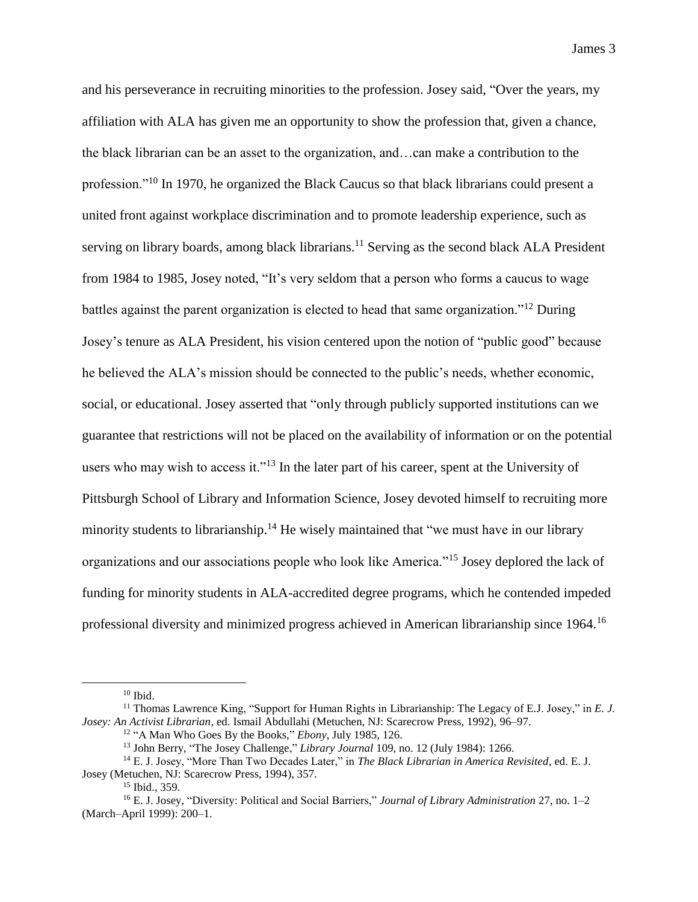and his perseverance in recruiting minorities to the profession. Josey said, "Over the years, my affiliation with ALA has given me an opportunity to show the profession that, given a chance, the black librarian can be an asset to the organization, and…can make a contribution to the profession."<sup>10</sup> In 1970, he organized the Black Caucus so that black librarians could present a united front against workplace discrimination and to promote leadership experience, such as serving on library boards, among black librarians.<sup>11</sup> Serving as the second black ALA President from 1984 to 1985, Josey noted, "It's very seldom that a person who forms a caucus to wage battles against the parent organization is elected to head that same organization."<sup>12</sup> During Josey's tenure as ALA President, his vision centered upon the notion of "public good" because he believed the ALA's mission should be connected to the public's needs, whether economic, social, or educational. Josey asserted that "only through publicly supported institutions can we guarantee that restrictions will not be placed on the availability of information or on the potential users who may wish to access it."<sup>13</sup> In the later part of his career, spent at the University of Pittsburgh School of Library and Information Science, Josey devoted himself to recruiting more minority students to librarianship.<sup>14</sup> He wisely maintained that "we must have in our library organizations and our associations people who look like America."<sup>15</sup> Josey deplored the lack of funding for minority students in ALA-accredited degree programs, which he contended impeded professional diversity and minimized progress achieved in American librarianship since 1964.<sup>16</sup>

 $\overline{\phantom{a}}$ 

 $10$  Ibid.

<sup>11</sup> Thomas Lawrence King, "Support for Human Rights in Librarianship: The Legacy of E.J. Josey," in *E. J. Josey: An Activist Librarian*, ed. Ismail Abdullahi (Metuchen, NJ: Scarecrow Press, 1992), 96–97.

<sup>12</sup> "A Man Who Goes By the Books," *Ebony*, July 1985, 126.

<sup>13</sup> John Berry, "The Josey Challenge," *Library Journal* 109, no. 12 (July 1984): 1266.

<sup>14</sup> E. J. Josey, "More Than Two Decades Later," in *The Black Librarian in America Revisited*, ed. E. J. Josey (Metuchen, NJ: Scarecrow Press, 1994), 357.

<sup>15</sup> Ibid., 359.

<sup>16</sup> E. J. Josey, "Diversity: Political and Social Barriers," *Journal of Library Administration* 27, no. 1–2 (March–April 1999): 200–1.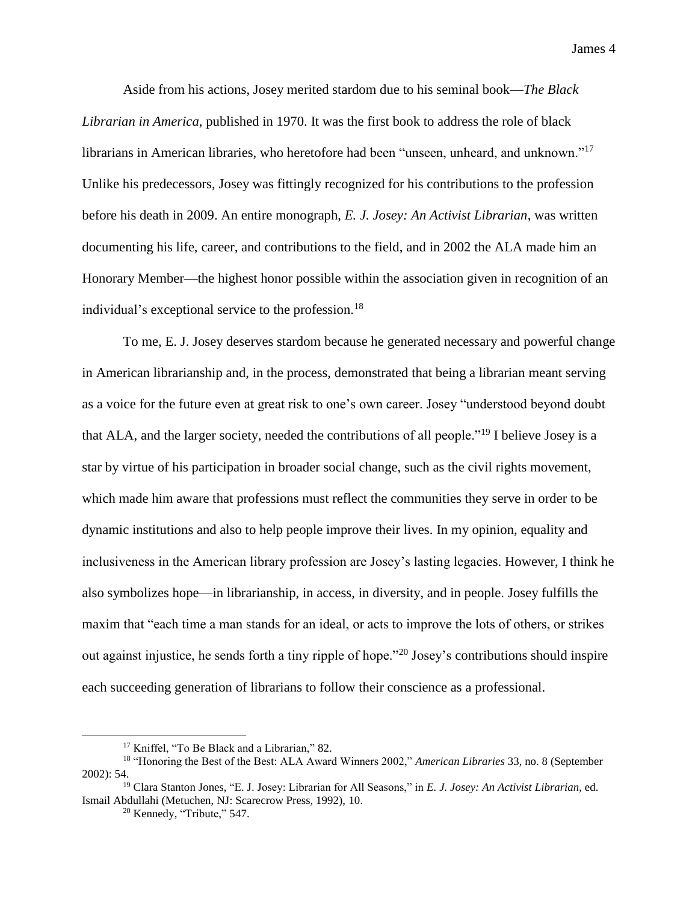James 4

Aside from his actions, Josey merited stardom due to his seminal book—*The Black Librarian in America*, published in 1970. It was the first book to address the role of black librarians in American libraries, who heretofore had been "unseen, unheard, and unknown."<sup>17</sup> Unlike his predecessors, Josey was fittingly recognized for his contributions to the profession before his death in 2009. An entire monograph, *E. J. Josey: An Activist Librarian*, was written documenting his life, career, and contributions to the field, and in 2002 the ALA made him an Honorary Member—the highest honor possible within the association given in recognition of an individual's exceptional service to the profession.<sup>18</sup>

To me, E. J. Josey deserves stardom because he generated necessary and powerful change in American librarianship and, in the process, demonstrated that being a librarian meant serving as a voice for the future even at great risk to one's own career. Josey "understood beyond doubt that ALA, and the larger society, needed the contributions of all people."<sup>19</sup> I believe Josey is a star by virtue of his participation in broader social change, such as the civil rights movement, which made him aware that professions must reflect the communities they serve in order to be dynamic institutions and also to help people improve their lives. In my opinion, equality and inclusiveness in the American library profession are Josey's lasting legacies. However, I think he also symbolizes hope—in librarianship, in access, in diversity, and in people. Josey fulfills the maxim that "each time a man stands for an ideal, or acts to improve the lots of others, or strikes out against injustice, he sends forth a tiny ripple of hope."<sup>20</sup> Josey's contributions should inspire each succeeding generation of librarians to follow their conscience as a professional.

l

<sup>&</sup>lt;sup>17</sup> Kniffel, "To Be Black and a Librarian," 82.

<sup>18</sup> "Honoring the Best of the Best: ALA Award Winners 2002," *American Libraries* 33, no. 8 (September 2002): 54.

<sup>19</sup> Clara Stanton Jones, "E. J. Josey: Librarian for All Seasons," in *E. J. Josey: An Activist Librarian*, ed. Ismail Abdullahi (Metuchen, NJ: Scarecrow Press, 1992), 10.

<sup>20</sup> Kennedy, "Tribute," 547.